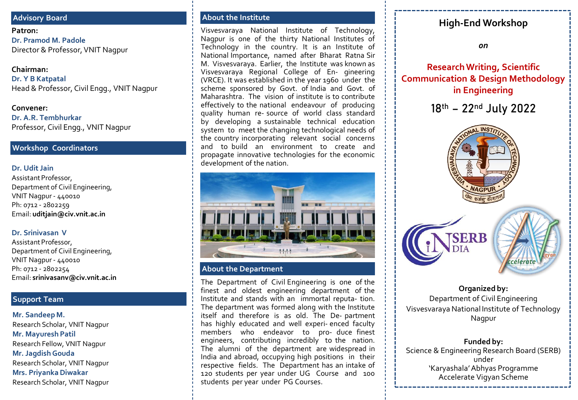#### **Advisory Board**

**Patron: Dr. Pramod M. Padole** Director & Professor, VNIT Nagpur

#### **Chairman:**

**Dr. Y B Katpatal** Head & Professor, Civil Engg., VNIT Nagpur

**Convener: Dr. A.R. Tembhurkar** Professor, Civil Engg., VNIT Nagpur

#### **Workshop Coordinators**

#### **Dr. Udit Jain**

Assistant Professor, Department of Civil Engineering, VNIT Nagpur - 440010 Ph: 0712 - 2802259 Email: **uditjain@civ.vnit.ac.in**

#### **Dr. Srinivasan V**

Assistant Professor, Department of Civil Engineering, VNIT Nagpur - 440010 Ph: 0712 - 2802254 Email: **srinivasanv@civ.vnit.ac.in**

### **Support Team**

**Mr. Sandeep M.** Research Scholar, VNIT Nagpur **Mr. Mayuresh Patil** Research Fellow, VNIT Nagpur **Mr. Jagdish Gouda** Research Scholar, VNIT Nagpur **Mrs. Priyanka Diwakar** Research Scholar, VNIT Nagpur

Visvesvaraya National Institute of Technology, Nagpur is one of the thirty National Institutes of Technology in the country. It is an Institute of National Importance, named after Bharat Ratna Sir M. Visvesvaraya. Earlier, the Institute was known as Visvesvaraya Regional College of En- gineering (VRCE). It was established in the year 1960 under the scheme sponsored by Govt. of India and Govt. of Maharashtra. The vision of institute is to contribute effectively to the national endeavour of producing quality human re- source of world class standard by developing a sustainable technical education system to meet the changing technological needs of the country incorporating relevant social concerns and to build an environment to create and propagate innovative technologies for the economic development of the nation.



#### **About the Department**

The Department of Civil Engineering is one of the finest and oldest engineering department of the Institute and stands with an immortal reputa- tion. The department was formed along with the Institute itself and therefore is as old. The De- partment has highly educated and well experi- enced faculty members who endeavor to pro- duce finest engineers, contributing incredibly to the nation. The alumni of the department are widespread in India and abroad, occupying high positions in their respective fields. The Department has an intake of 120 students per year under UG Course and 100 students per year under PG Courses.

# **About the Institute High-End Workshop**

*on*

**Research Writing, Scientific Communication & Design Methodology in Engineering**

18th – 22nd July 2022



**Organized by:** Department of Civil Engineering Visvesvaraya National Institute of Technology Nagpur

**Funded by:** Science & Engineering Research Board (SERB) under 'Karyashala' Abhyas Programme Accelerate Vigyan Scheme